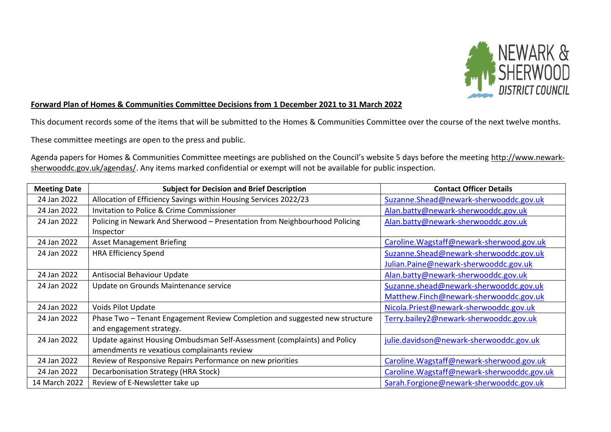

## **Forward Plan of Homes & Communities Committee Decisions from 1 December 2021 to 31 March 2022**

This document records some of the items that will be submitted to the Homes & Communities Committee over the course of the next twelve months.

These committee meetings are open to the press and public.

Agenda papers for Homes & Communities Committee meetings are published on the Council's website 5 days before the meeting [http://www.newark](http://www.newark-sherwooddc.gov.uk/agendas/)[sherwooddc.gov.uk/agendas/.](http://www.newark-sherwooddc.gov.uk/agendas/) Any items marked confidential or exempt will not be available for public inspection.

| <b>Meeting Date</b> | <b>Subject for Decision and Brief Description</b>                           | <b>Contact Officer Details</b>              |
|---------------------|-----------------------------------------------------------------------------|---------------------------------------------|
| 24 Jan 2022         | Allocation of Efficiency Savings within Housing Services 2022/23            | Suzanne.Shead@newark-sherwooddc.gov.uk      |
| 24 Jan 2022         | Invitation to Police & Crime Commissioner                                   | Alan.batty@newark-sherwooddc.gov.uk         |
| 24 Jan 2022         | Policing in Newark And Sherwood - Presentation from Neighbourhood Policing  | Alan.batty@newark-sherwooddc.gov.uk         |
|                     | Inspector                                                                   |                                             |
| 24 Jan 2022         | <b>Asset Management Briefing</b>                                            | Caroline. Wagstaff@newark-sherwood.gov.uk   |
| 24 Jan 2022         | <b>HRA Efficiency Spend</b>                                                 | Suzanne.Shead@newark-sherwooddc.gov.uk      |
|                     |                                                                             | Julian.Paine@newark-sherwooddc.gov.uk       |
| 24 Jan 2022         | Antisocial Behaviour Update                                                 | Alan.batty@newark-sherwooddc.gov.uk         |
| 24 Jan 2022         | Update on Grounds Maintenance service                                       | Suzanne.shead@newark-sherwooddc.gov.uk      |
|                     |                                                                             | Matthew.Finch@newark-sherwooddc.gov.uk      |
| 24 Jan 2022         | Voids Pilot Update                                                          | Nicola.Priest@newark-sherwooddc.gov.uk      |
| 24 Jan 2022         | Phase Two - Tenant Engagement Review Completion and suggested new structure | Terry.bailey2@newark-sherwooddc.gov.uk      |
|                     | and engagement strategy.                                                    |                                             |
| 24 Jan 2022         | Update against Housing Ombudsman Self-Assessment (complaints) and Policy    | julie.davidson@newark-sherwooddc.gov.uk     |
|                     | amendments re vexatious complainants review                                 |                                             |
| 24 Jan 2022         | Review of Responsive Repairs Performance on new priorities                  | Caroline. Wagstaff@newark-sherwood.gov.uk   |
| 24 Jan 2022         | Decarbonisation Strategy (HRA Stock)                                        | Caroline. Wagstaff@newark-sherwooddc.gov.uk |
| 14 March 2022       | Review of E-Newsletter take up                                              | Sarah.Forgione@newark-sherwooddc.gov.uk     |